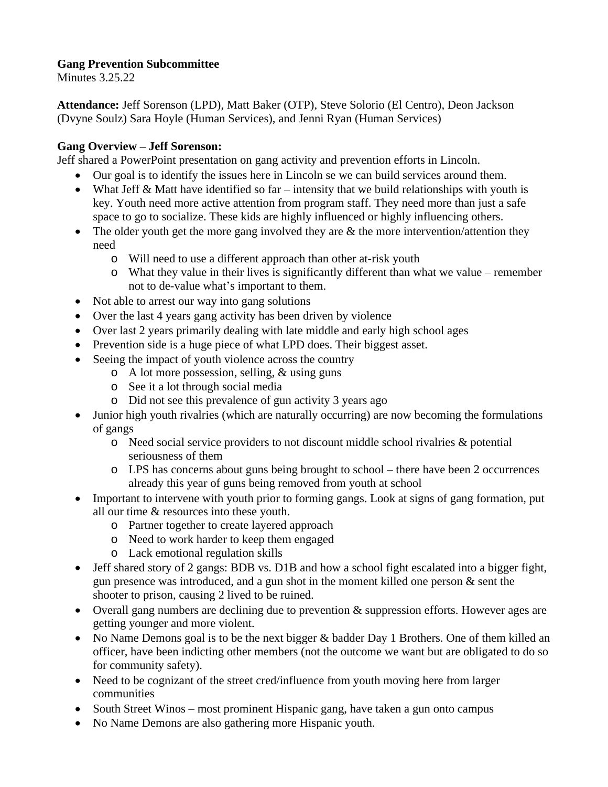## **Gang Prevention Subcommittee**

Minutes 3.25.22

**Attendance:** Jeff Sorenson (LPD), Matt Baker (OTP), Steve Solorio (El Centro), Deon Jackson (Dvyne Soulz) Sara Hoyle (Human Services), and Jenni Ryan (Human Services)

## **Gang Overview – Jeff Sorenson:**

Jeff shared a PowerPoint presentation on gang activity and prevention efforts in Lincoln.

- Our goal is to identify the issues here in Lincoln se we can build services around them.
- What Jeff  $\&$  Matt have identified so far intensity that we build relationships with youth is key. Youth need more active attention from program staff. They need more than just a safe space to go to socialize. These kids are highly influenced or highly influencing others.
- The older youth get the more gang involved they are  $\&$  the more intervention/attention they need
	- o Will need to use a different approach than other at-risk youth
	- o What they value in their lives is significantly different than what we value remember not to de-value what's important to them.
- Not able to arrest our way into gang solutions
- Over the last 4 years gang activity has been driven by violence
- Over last 2 years primarily dealing with late middle and early high school ages
- Prevention side is a huge piece of what LPD does. Their biggest asset.
- Seeing the impact of youth violence across the country
	- o A lot more possession, selling, & using guns
	- o See it a lot through social media
	- o Did not see this prevalence of gun activity 3 years ago
- Junior high youth rivalries (which are naturally occurring) are now becoming the formulations of gangs
	- o Need social service providers to not discount middle school rivalries & potential seriousness of them
	- o LPS has concerns about guns being brought to school there have been 2 occurrences already this year of guns being removed from youth at school
- Important to intervene with youth prior to forming gangs. Look at signs of gang formation, put all our time & resources into these youth.
	- o Partner together to create layered approach
	- o Need to work harder to keep them engaged
	- o Lack emotional regulation skills
- Jeff shared story of 2 gangs: BDB vs. D1B and how a school fight escalated into a bigger fight, gun presence was introduced, and a gun shot in the moment killed one person & sent the shooter to prison, causing 2 lived to be ruined.
- Overall gang numbers are declining due to prevention  $\&$  suppression efforts. However ages are getting younger and more violent.
- No Name Demons goal is to be the next bigger & badder Day 1 Brothers. One of them killed an officer, have been indicting other members (not the outcome we want but are obligated to do so for community safety).
- Need to be cognizant of the street cred/influence from youth moving here from larger communities
- South Street Winos most prominent Hispanic gang, have taken a gun onto campus
- No Name Demons are also gathering more Hispanic youth.